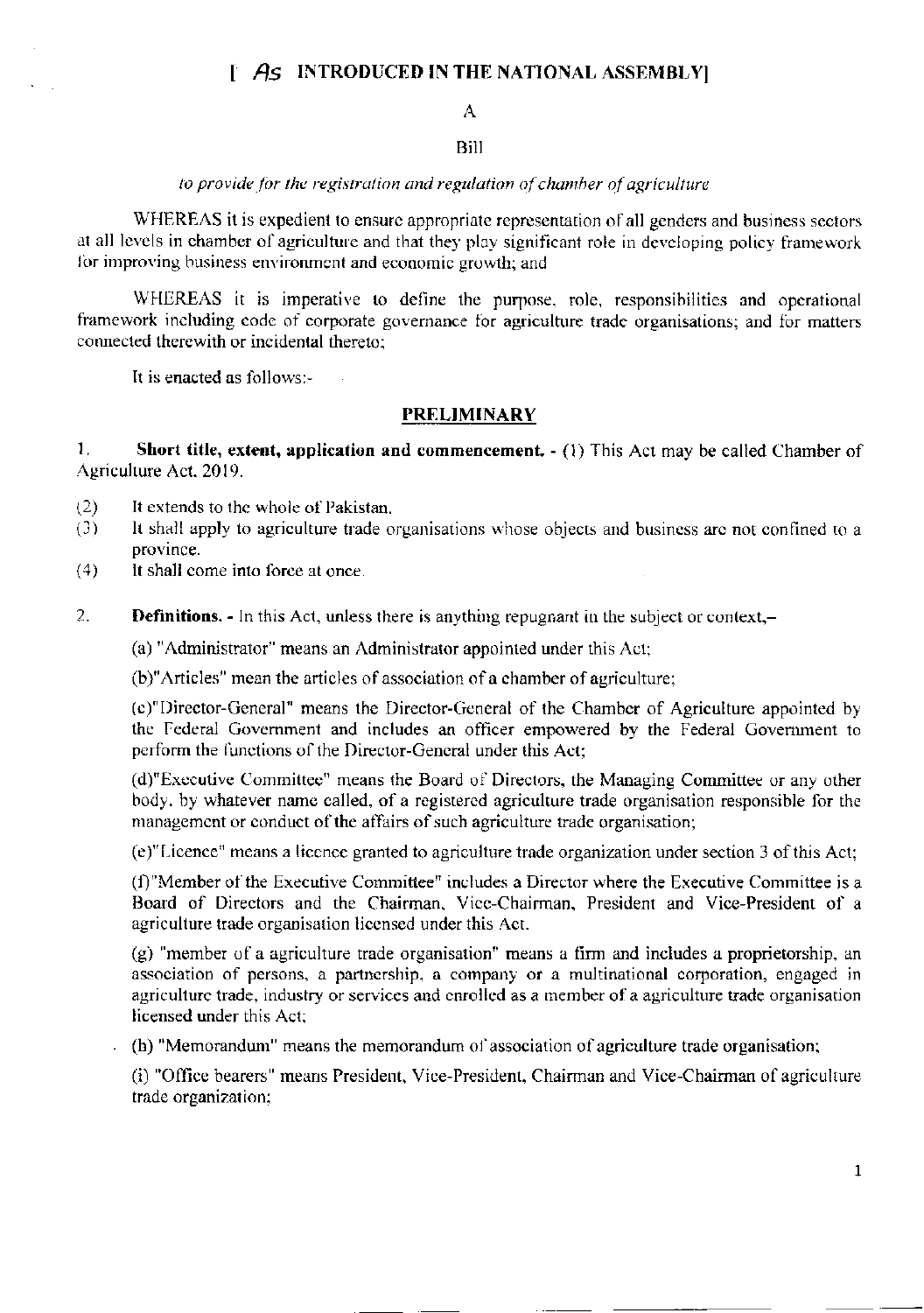# $\upharpoonright$  As INTRODUCED IN THE NATIONAL ASSEMBLY

## $\mathbf{A}$

## **Bill**

## to provide for the registration and regulation of chamber of agriculture

WHEREAS it is expedient to ensure appropriate representation of all genders and business sectors at all levels in chamber of agriculture and that they play significant role in developing policy framework for improving business environment and economic growth; and

WHEREAS it is imperative to define the purpose, role, responsibilities and operational framework including code of corporate governance for agriculture trade organisations; and for matters connected therewith or incidental thereto:

It is enacted as follows:-

### **PRELIMINARY**

 $\mathbf{1}$ . Short title, extent, application and commencement.  $- (1)$  This Act may be called Chamber of Agriculture Act. 2019.

- It extends to the whole of Pakistan.  $(2)$
- It shall apply to agriculture trade organisations whose objects and business are not confined to a  $(3)$ province.
- $(4)$ It shall come into force at once.
- 2. **Definitions.** - In this Act, unless there is anything repugnant in the subject or context,-

(a) "Administrator" means an Administrator appointed under this Act;

(b)"Articles" mean the articles of association of a chamber of agriculture;

(c)"Director-General" means the Director-General of the Chamber of Agriculture appointed by the Federal Government and includes an officer empowered by the Federal Government to perform the functions of the Director-General under this Act;

(d)"Executive Committee" means the Board of Directors, the Managing Committee or any other body, by whatever name called, of a registered agriculture trade organisation responsible for the management or conduct of the affairs of such agriculture trade organisation;

(e)"Licence" means a licence granted to agriculture trade organization under section 3 of this Act;

(f)"Member of the Executive Committee" includes a Director where the Executive Committee is a Board of Directors and the Chairman, Vice-Chairman, President and Vice-President of a agriculture trade organisation licensed under this Act.

(g) "member of a agriculture trade organisation" means a firm and includes a proprietorship, an association of persons, a partnership, a company or a multinational corporation, engaged in agriculture trade, industry or services and enrolled as a member of a agriculture trade organisation licensed under this Act;

(h) "Memorandum" means the memorandum of association of agriculture trade organisation;

(i) "Office bearers" means President, Vice-President, Chairman and Vice-Chairman of agriculture trade organization;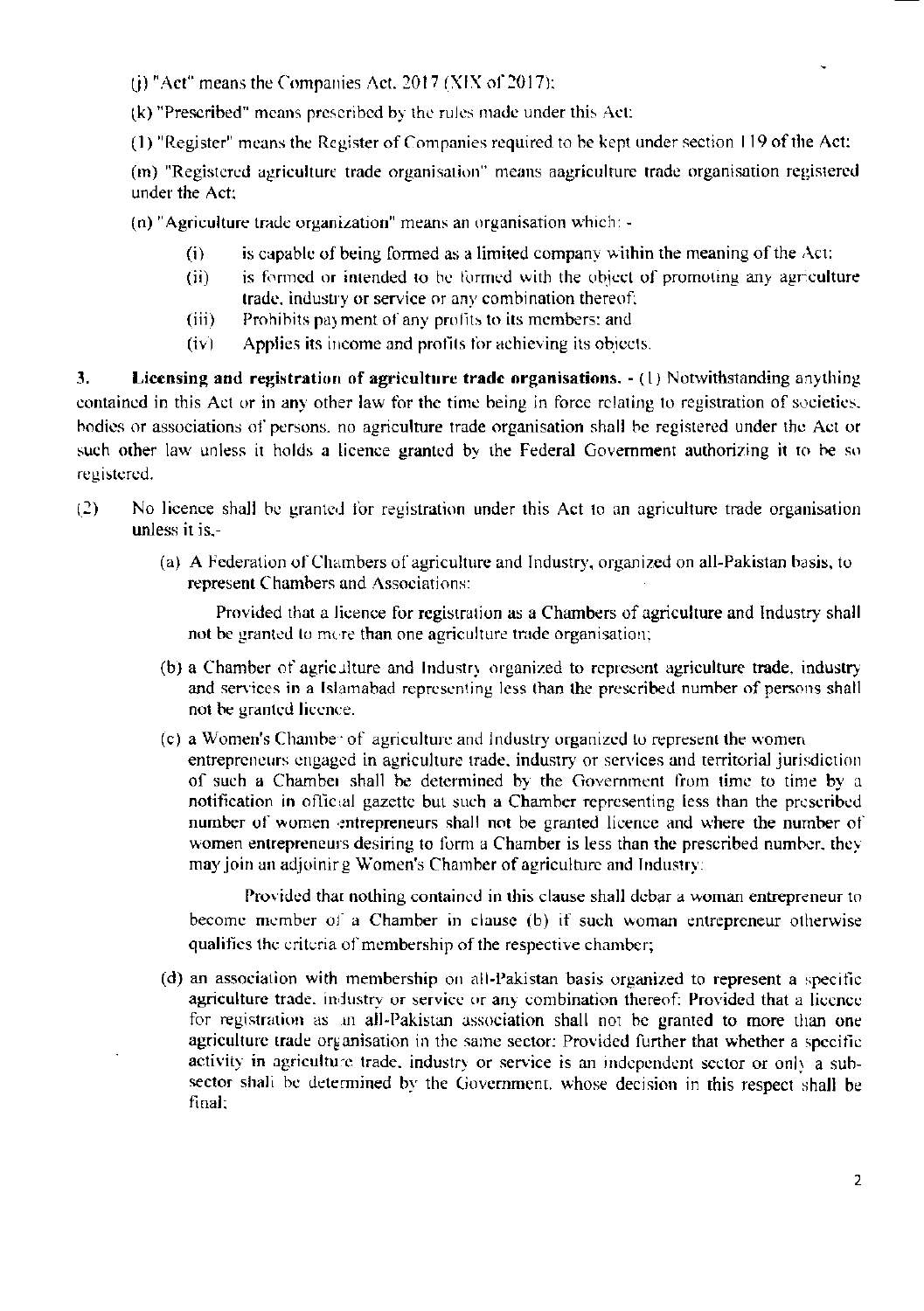(i) "Act" means the Companies Act. 2017 (XIX of 2017);

(k) "Prescribed" means prescribed by the rules made under this Act:

(1) "Register" means the Register of Companies required to be kept under section 119 of the Act:

(m) "Registered agriculture trade organisation" means aagriculture trade organisation registered under the Act:

(n) "Agriculture trade organization" means an organisation which: -

- is capable of being formed as a limited company within the meaning of the Act;  $(i)$
- is formed or intended to be formed with the object of promoting any agriculture  $(ii)$ trade, industry or service or any combination thereof;
- $(iii)$ Prohibits payment of any profits to its members; and
- Applies its income and profits for achieving its objects.  $(iv)$

3. Licensing and registration of agriculture trade organisations. - (1) Notwithstanding anything contained in this Act or in any other law for the time being in force relating to registration of societies. bodies or associations of persons, no agriculture trade organisation shall be registered under the Act or such other law unless it holds a licence granted by the Federal Government authorizing it to be so registered.

- $(2)$ No licence shall be granted for registration under this Act to an agriculture trade organisation unless it is.-
	- (a) A Federation of Chambers of agriculture and Industry, organized on all-Pakistan basis, to represent Chambers and Associations:

Provided that a licence for registration as a Chambers of agriculture and Industry shall not be granted to more than one agriculture trade organisation;

- (b) a Chamber of agriculture and Industry organized to represent agriculture trade, industry and services in a Islamabad representing less than the prescribed number of persons shall not be granted licence.
- (c) a Women's Chamber of agriculture and Industry organized to represent the women entrepreneurs engaged in agriculture trade, industry or services and territorial jurisdiction of such a Chambei shall be determined by the Government from time to time by a notification in official gazette but such a Chamber representing less than the prescribed number of women entrepreneurs shall not be granted licence and where the number of women entrepreneurs desiring to form a Chamber is less than the prescribed number, they may join an adjoinir g Women's Chamber of agriculture and Industry:

Provided that nothing contained in this clause shall debar a woman entrepreneur to become member of a Chamber in clause (b) if such woman entrepreneur otherwise qualifies the criteria of membership of the respective chamber;

(d) an association with membership on all-Pakistan basis organized to represent a specific agriculture trade, industry or service or any combination thereof: Provided that a licence for registration as an all-Pakistan association shall not be granted to more than one agriculture trade organisation in the same sector: Provided further that whether a specific activity in agriculture trade, industry or service is an independent sector or only a subsector shall be determined by the Government, whose decision in this respect shall be final: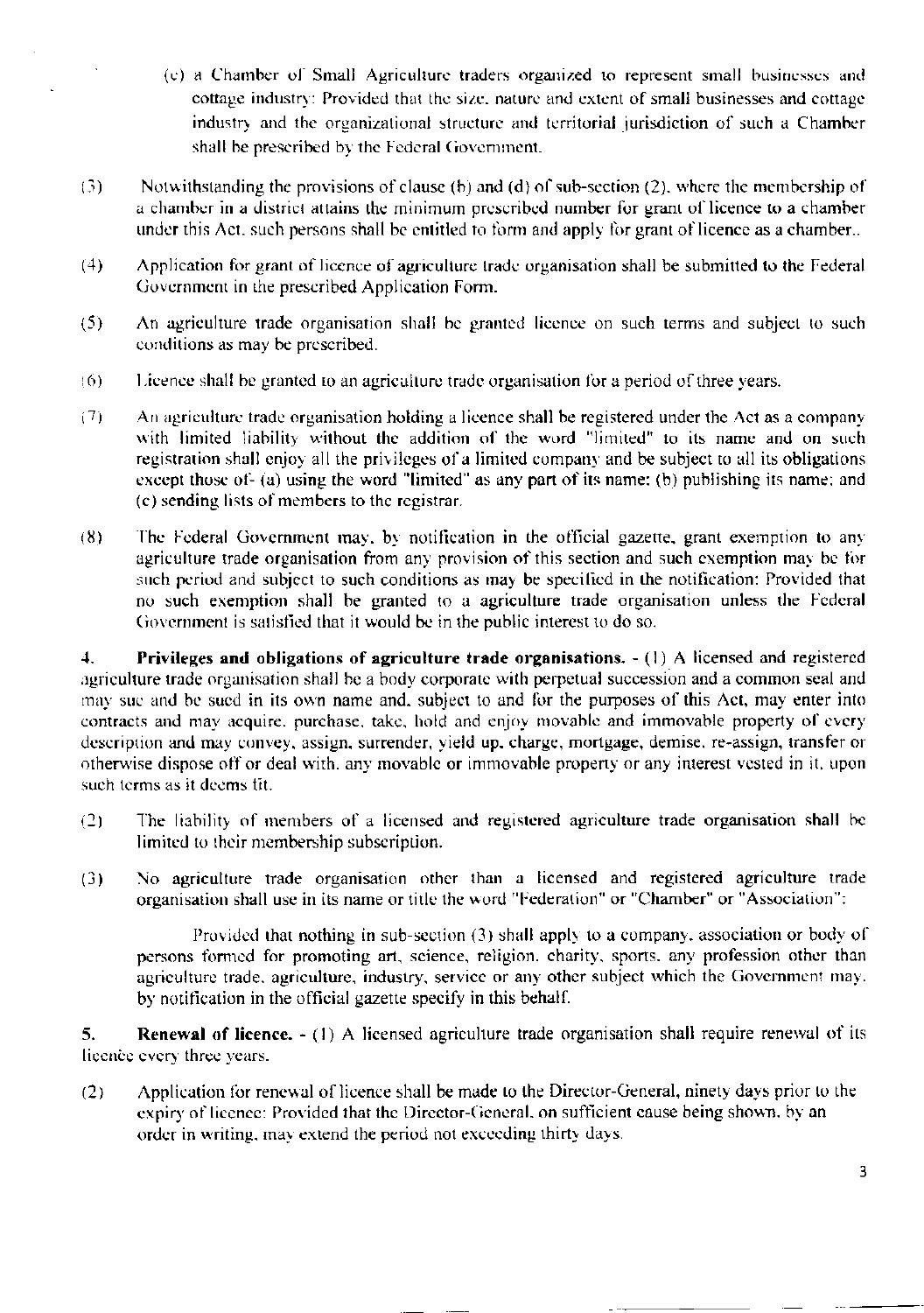- (c) a Chamber of Small Agriculture traders organized to represent small businesses and cottage industry: Provided that the size, nature and extent of small businesses and cottage industry and the organizational structure and territorial jurisdiction of such a Chamber shall be prescribed by the Federal Government.
- Notwithstanding the provisions of clause (b) and (d) of sub-section (2), where the membership of  $(3)$ a chamber in a district attains the minimum prescribed number for grant of licence to a chamber under this Act, such persons shall be entitled to form and apply for grant of licence as a chamber...
- $(4)$ Application for grant of licence of agriculture trade organisation shall be submitted to the Federal Government in the prescribed Application Form.
- $(5)$ An agriculture trade organisation shall be granted licence on such terms and subject to such conditions as may be prescribed.
- $(6)$ Licence shall be granted to an agriculture trade organisation for a period of three years.
- An agriculture trade organisation holding a licence shall be registered under the Act as a company  $(7)$ with limited liability without the addition of the word "limited" to its name and on such registration shall enjoy all the privileges of a limited company and be subject to all its obligations except those of- (a) using the word "limited" as any part of its name; (b) publishing its name; and (c) sending lists of members to the registrar.
- The Federal Government may, by notification in the official gazette, grant exemption to any  $(8)$ agriculture trade organisation from any provision of this section and such exemption may be for such period and subject to such conditions as may be specified in the notification: Provided that no such exemption shall be granted to a agriculture trade organisation unless the Federal Government is satisfied that it would be in the public interest to do so.

Privileges and obligations of agriculture trade organisations. - (1) A licensed and registered 4. agriculture trade organisation shall be a body corporate with perpetual succession and a common seal and may suc and be sued in its own name and, subject to and for the purposes of this Act, may enter into contracts and may acquire, purchase, take, hold and enjoy movable and immovable property of every description and may convey, assign, surrender, yield up, charge, mortgage, demise, re-assign, transfer or otherwise dispose off or deal with, any movable or immovable property or any interest vested in it, upon such terms as it deems fit.

- The liability of members of a licensed and registered agriculture trade organisation shall be  $(2)$ limited to their membership subscription.
- No agriculture trade organisation other than a licensed and registered agriculture trade  $(3)$ organisation shall use in its name or title the word "Federation" or "Chamber" or "Association":

Provided that nothing in sub-section (3) shall apply to a company, association or body of persons formed for promoting art, science, religion, charity, sports, any profession other than agriculture trade, agriculture, industry, service or any other subject which the Government may. by notification in the official gazette specify in this behalf.

5. **Renewal of licence.**  $- (1)$  A licensed agriculture trade organisation shall require renewal of its licence every three years.

 $(2)$ Application for renewal of licence shall be made to the Director-General, ninety days prior to the expiry of licence: Provided that the Director-General, on sufficient cause being shown, by an order in writing, may extend the period not exceeding thirty days.

3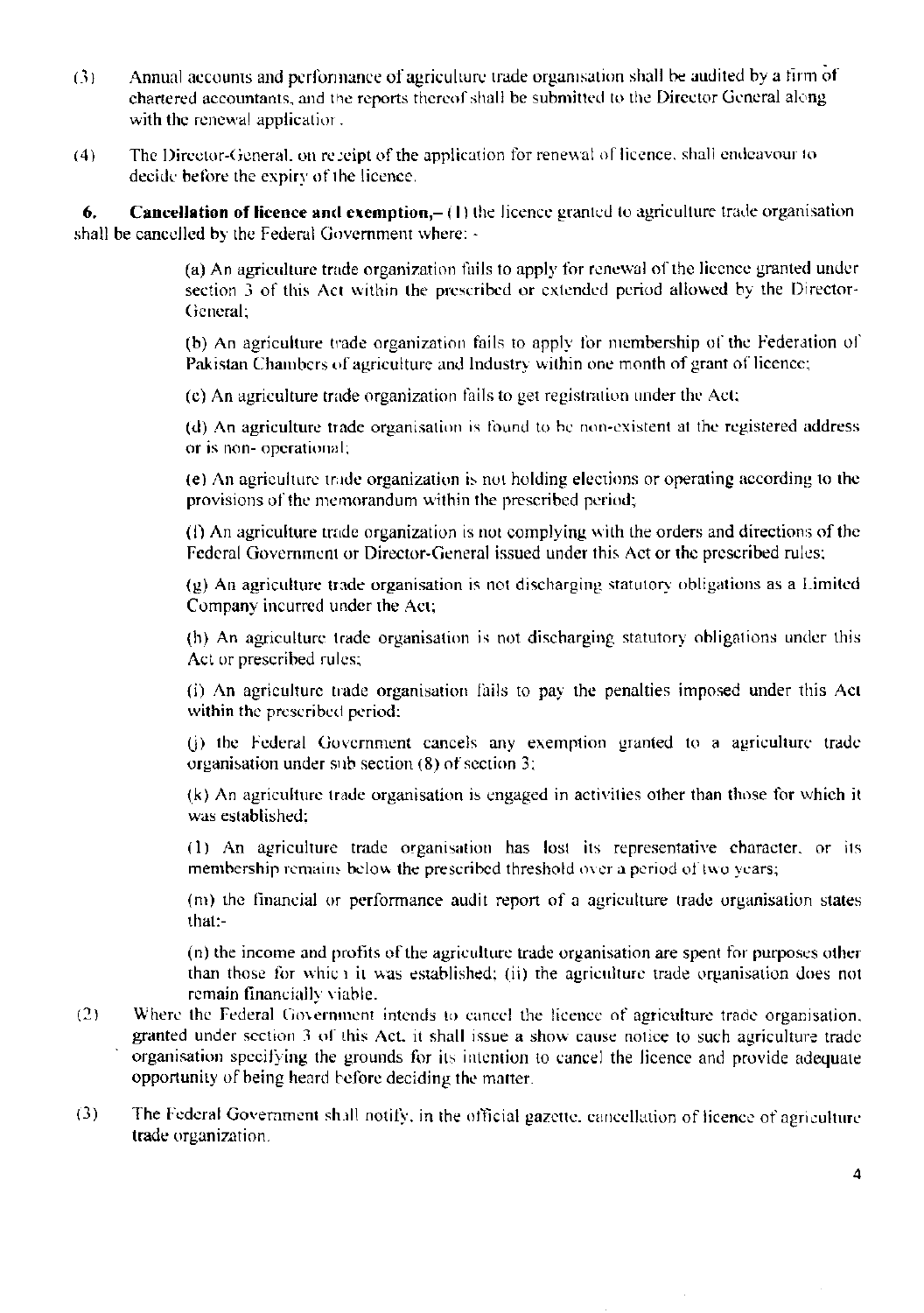- Annual accounts and performance of agriculture trade organisation shall be audited by a firm of  $(3)$ chartered accountants, and the reports thereof shall be submitted to the Director General along with the renewal application.
- The Director-General, on receipt of the application for renewal of licence, shall endeavour to  $(4)$ decide before the expiry of the licence.

**Cancellation of licence and exemption,**  $- (1)$  the licence granted to agriculture trade organisation 6. shall be cancelled by the Federal Government where: -

> (a) An agriculture trade organization fails to apply for renewal of the licence granted under section 3 of this Act within the prescribed or extended period allowed by the Director-General:

> (b) An agriculture trade organization fails to apply for membership of the Federation of Pakistan Chambers of agriculture and Industry within one month of grant of licence;

(c) An agriculture trade organization fails to get registration under the Act;

(d) An agriculture trade organisation is found to be non-existent at the registered address or is non-operational;

(e) An agriculture trade organization is not holding elections or operating according to the provisions of the memorandum within the prescribed period;

(f) An agriculture trade organization is not complying with the orders and directions of the Federal Government or Director-General issued under this Act or the prescribed rules;

 $(g)$  An agriculture trade organisation is not discharging statutory obligations as a Limited Company incurred under the Act;

(h) An agriculture trade organisation is not discharging statutory obligations under this Act or prescribed rules;

(i) An agriculture trade organisation fails to pay the penalties imposed under this Act within the prescribed period:

(i) the Federal Government cancels any exemption granted to a agriculture trade organisation under sub section  $(8)$  of section 3;

(k) An agriculture trade organisation is engaged in activities other than those for which it was established:

(1) An agriculture trade organisation has lost its representative character, or its membership remains below the prescribed threshold over a period of two years;

(m) the financial or performance audit report of a agriculture trade organisation states that:-

(n) the income and profits of the agriculture trade organisation are spent for purposes other than those for which it was established; (ii) the agriculture trade organisation does not remain financially viable.

- $(2)$ Where the Federal Government intends to cancel the licence of agriculture trade organisation, granted under section 3 of this Act, it shall issue a show cause notice to such agriculture trade organisation specifying the grounds for its intention to cancel the licence and provide adequate opportunity of being heard before deciding the matter.
- $(3)$ The Federal Government shall notify, in the official gazette, cancellation of licence of agriculture trade organization.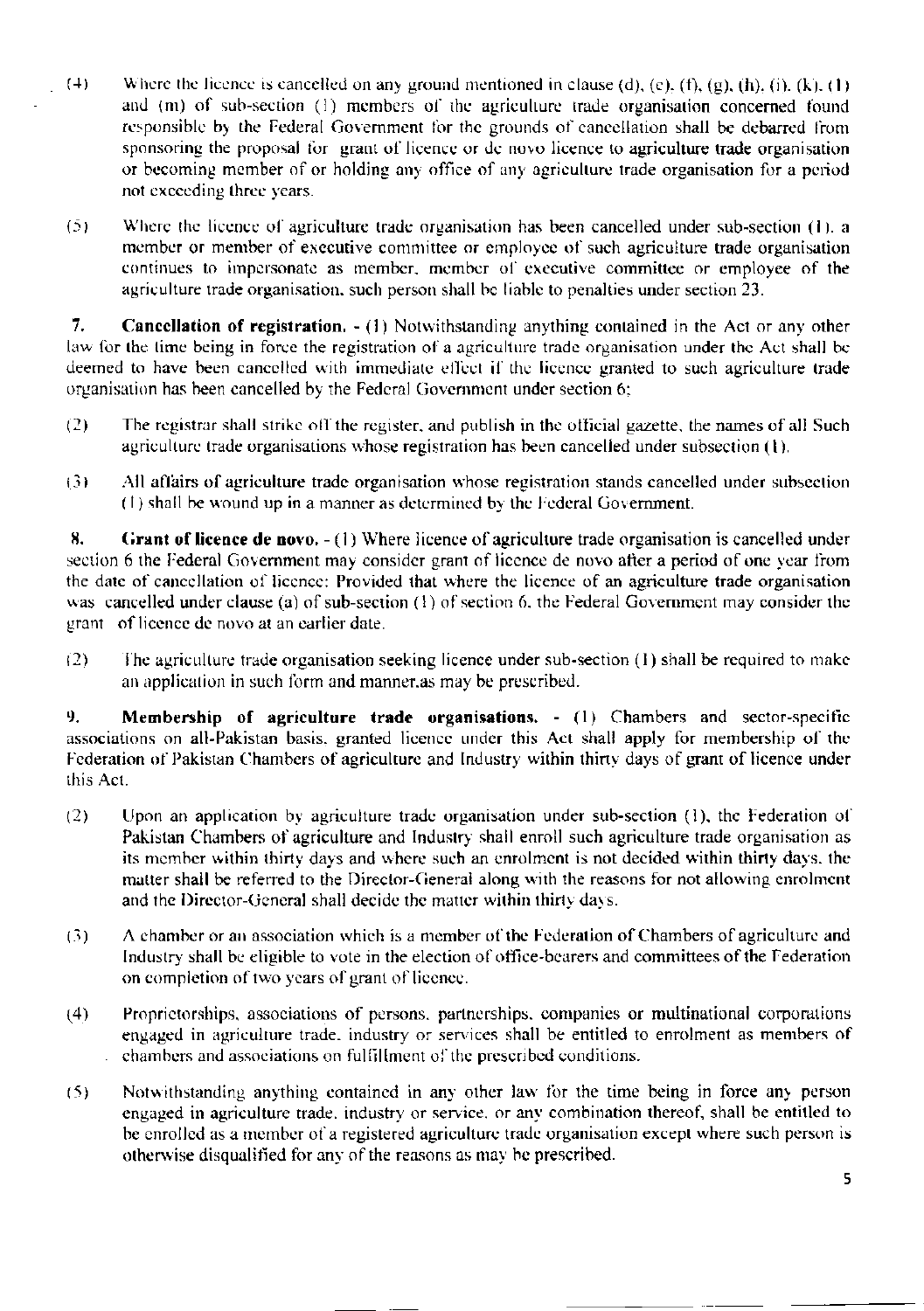- $(4)$ Where the licence is cancelled on any ground mentioned in clause (d), (e), (f), (g), (h), (i), (k), (1) and (m) of sub-section (1) members of the agriculture trade organisation concerned found responsible by the Federal Government for the grounds of cancellation shall be debarred from sponsoring the proposal for grant of licence or de novo licence to agriculture trade organisation or becoming member of or holding any office of any agriculture trade organisation for a period not exceeding three years.
- $(5)$ Where the licence of agriculture trade organisation has been cancelled under sub-section (1), a member or member of executive committee or employee of such agriculture trade organisation continues to impersonate as member, member of executive committee or employee of the agriculture trade organisation, such person shall be liable to penalties under section 23.

**Cancellation of registration.**  $- (1)$  Notwithstanding anything contained in the Act or any other  $7.$ law for the time being in force the registration of a agriculture trade organisation under the Act shall be deemed to have been cancelled with immediate effect if the licence granted to such agriculture trade organisation has been cancelled by the Federal Government under section 6;

- The registrar shall strike off the register, and publish in the official gazette, the names of all Such  $(2)$ agriculture trade organisations whose registration has been cancelled under subsection (1).
- $(3)$ All affairs of agriculture trade organisation whose registration stands cancelled under subsection (1) shall be wound up in a manner as determined by the Federal Government.

8. Grant of licence de novo.  $-(1)$  Where licence of agriculture trade organisation is cancelled under section 6 the Federal Government may consider grant of licence de novo after a period of one year from the date of cancellation of licence: Provided that where the licence of an agriculture trade organisation was cancelled under clause (a) of sub-section (1) of section 6, the Federal Government may consider the grant of licence de novo at an earlier date.

The agriculture trade organisation seeking licence under sub-section (1) shall be required to make  $(2)$ an application in such form and manner, as may be prescribed.

Membership of agriculture trade organisations. - (1) Chambers and sector-specific 9. associations on all-Pakistan basis, granted licence under this Act shall apply for membership of the Federation of Pakistan Chambers of agriculture and Industry within thirty days of grant of licence under this Act.

- $(2)$ Upon an application by agriculture trade organisation under sub-section (1), the Federation of Pakistan Chambers of agriculture and Industry shall enroll such agriculture trade organisation as its member within thirty days and where such an enrolment is not decided within thirty days, the matter shall be referred to the Director-General along with the reasons for not allowing enrolment and the Director-General shall decide the matter within thirty days.
- A chamber or an association which is a member of the Federation of Chambers of agriculture and  $(3)$ Industry shall be eligible to vote in the election of office-bearers and committees of the Federation on completion of two years of grant of licence.
- Proprietorships, associations of persons, partnerships, companies or multinational corporations  $(4)$ engaged in agriculture trade, industry or services shall be entitled to enrolment as members of chambers and associations on fulfillment of the prescribed conditions.
- $(5)$ Notwithstanding anything contained in any other law for the time being in force any person engaged in agriculture trade, industry or service, or any combination thereof, shall be entitled to be enrolled as a member of a registered agriculture trade organisation except where such person is otherwise disqualified for any of the reasons as may be prescribed.

5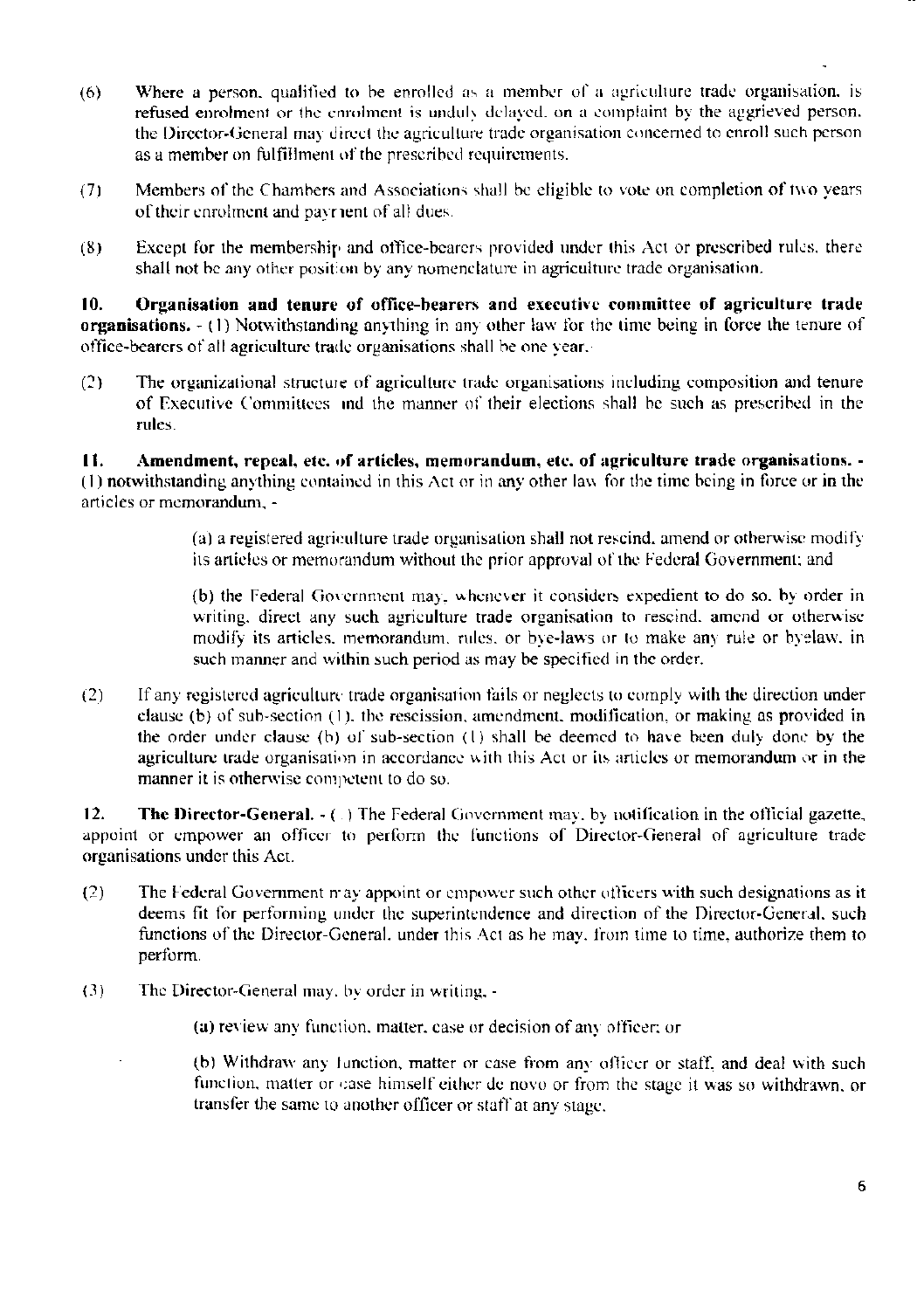- Where a person, qualified to be enrolled as a member of a agriculture trade organisation, is  $(6)$ refused enrolment or the enrolment is unduly delayed, on a complaint by the aggrieved person. the Director-General may direct the agriculture trade organisation concerned to enroll such person as a member on fulfillment of the prescribed requirements.
- Members of the Chambers and Associations shall be eligible to vote on completion of two years  $(7)$ of their enrolment and payrient of all dues.
- Except for the membership and office-bearers provided under this Act or prescribed rules, there  $(8)$ shall not be any other position by any nomenclature in agriculture trade organisation.

 $10.$ Organisation and tenure of office-bearers and executive committee of agriculture trade organisations.  $- (1)$  Notwithstanding anything in any other law for the time being in force the tenure of office-bearers of all agriculture trade organisations shall be one vear.

The organizational structure of agriculture trade organisations including composition and tenure  $(2)$ of Executive Committees and the manner of their elections shall be such as prescribed in the rules.

Amendment, repeal, etc. of articles, memorandum, etc. of agriculture trade organisations. - $\mathbf{H}$ . (1) notwithstanding anything contained in this Act or in any other law for the time being in force or in the articles or memorandum, -

> (a) a registered agriculture trade organisation shall not rescind, amend or otherwise modify its articles or memorandum without the prior approval of the Federal Government; and

> (b) the Federal Government may, whenever it considers expedient to do so, by order in writing, direct any such agriculture trade organisation to rescind, amend or otherwise modify its articles, memorandum, rules, or bye-laws or to make any rule or byelaw, in such manner and within such period as may be specified in the order.

 $(2)$ If any registered agriculture trade organisation fails or neglects to comply with the direction under clause (b) of sub-section (1), the rescission, amendment, modification, or making as provided in the order under clause (b) of sub-section (1) shall be deemed to have been duly done by the agriculture trade organisation in accordance with this Act or its articles or memorandum or in the manner it is otherwise competent to do so.

 $12.$ The Director-General.  $-(-)$  The Federal Government may, by notification in the official gazette, appoint or empower an officer to perform the functions of Director-General of agriculture trade organisations under this Act.

- $(2)$ The Federal Government may appoint or empower such other officers with such designations as it deems fit for performing under the superintendence and direction of the Director-General, such functions of the Director-General, under this Act as he may, from time to time, authorize them to perform.
- $(3)$ The Director-General may, by order in writing, -
	- (a) review any function, matter, case or decision of any officer; or

(b) Withdraw any function, matter or case from any officer or staff, and deal with such function, matter or case himself either de novo or from the stage it was so withdrawn, or transfer the same to another officer or staff at any stage.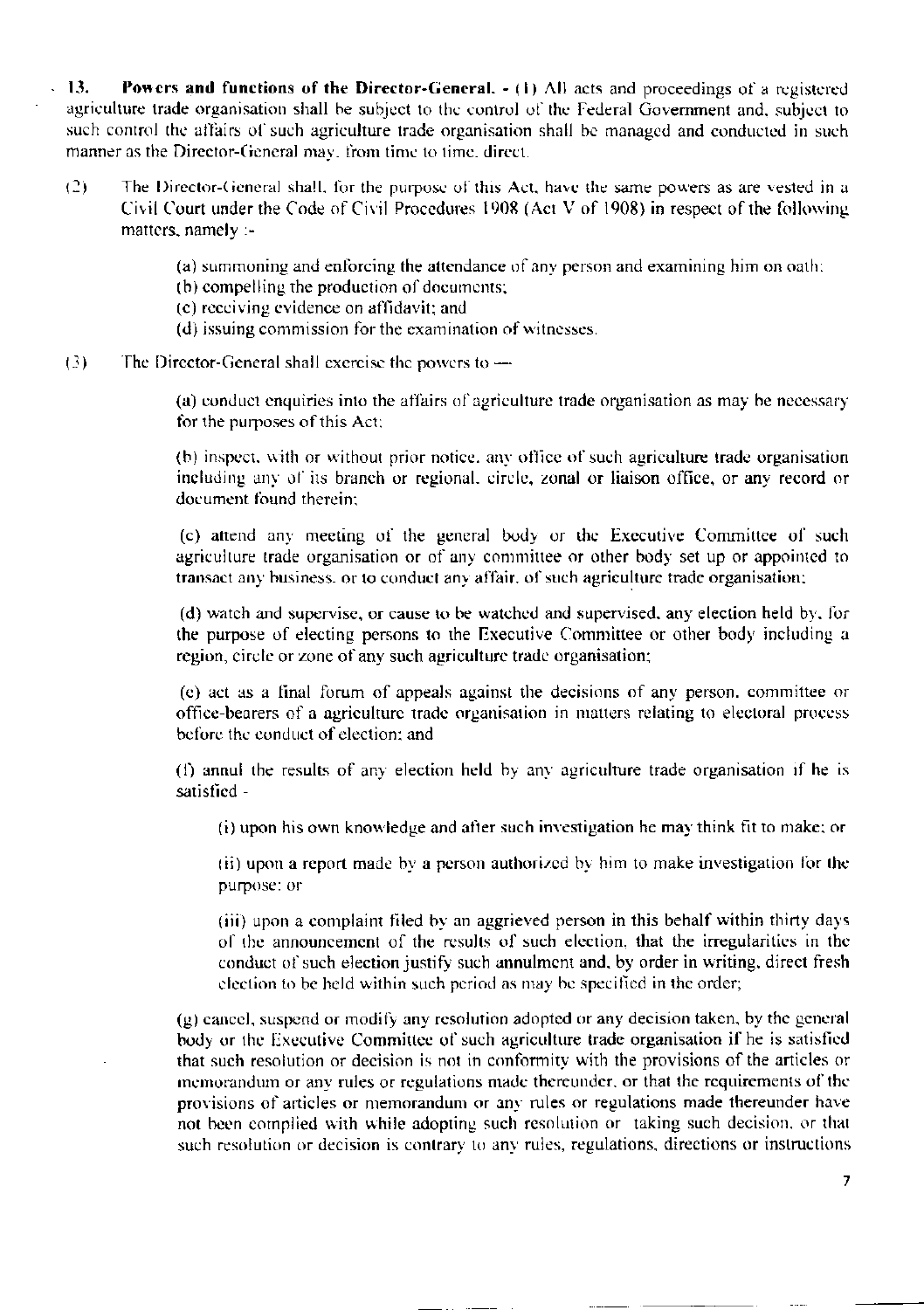$13.$ Powers and functions of the Director-General.  $- (1)$  All acts and proceedings of a registered agriculture trade organisation shall be subject to the control of the Federal Government and, subject to such control the affairs of such agriculture trade organisation shall be managed and conducted in such manner as the Director-General may, from time to time, direct.

- $(2)$ The Director-General shall, for the purpose of this Act, have the same powers as are vested in a Civil Court under the Code of Civil Procedures 1908 (Act V of 1908) in respect of the following matters, namely :-
	- (a) summoning and enforcing the attendance of any person and examining him on oath:
	- (b) compelling the production of documents;
	- (c) receiving evidence on affidavit; and
	- (d) issuing commission for the examination of witnesses.
- $(3)$ The Director-General shall exercise the powers to  $-$

(a) conduct enquiries into the affairs of agriculture trade organisation as may be necessary for the purposes of this Act:

(b) inspect, with or without prior notice, any office of such agriculture trade organisation including any of its branch or regional, circle, zonal or liaison office, or any record or document found therein:

(c) attend any meeting of the general body or the Executive Committee of such agriculture trade organisation or of any committee or other body set up or appointed to transact any business, or to conduct any affair, of such agriculture trade organisation;

(d) watch and supervise, or cause to be watched and supervised, any election held by, for the purpose of electing persons to the Executive Committee or other body including a region, circle or zone of any such agriculture trade organisation;

(e) act as a final forum of appeals against the decisions of any person, committee or office-bearers of a agriculture trade organisation in matters relating to electoral process before the conduct of election; and

(f) annul the results of any election held by any agriculture trade organisation if he is satisfied -

(i) upon his own knowledge and after such investigation he may think fit to make; or

(ii) upon a report made by a person authorized by him to make investigation for the purpose: or

(iii) upon a complaint filed by an aggrieved person in this behalf within thirty days of the announcement of the results of such election, that the irregularities in the conduct of such election justify such annulment and, by order in writing, direct fresh election to be held within such period as may be specified in the order;

(g) cancel, suspend or modify any resolution adopted or any decision taken, by the general body or the Executive Committee of such agriculture trade organisation if he is satisfied that such resolution or decision is not in conformity with the provisions of the articles or memorandum or any rules or regulations made thereunder, or that the requirements of the provisions of articles or memorandum or any rules or regulations made thereunder have not been complied with while adopting such resolution or taking such decision, or that such resolution or decision is contrary to any rules, regulations, directions or instructions

 $\overline{7}$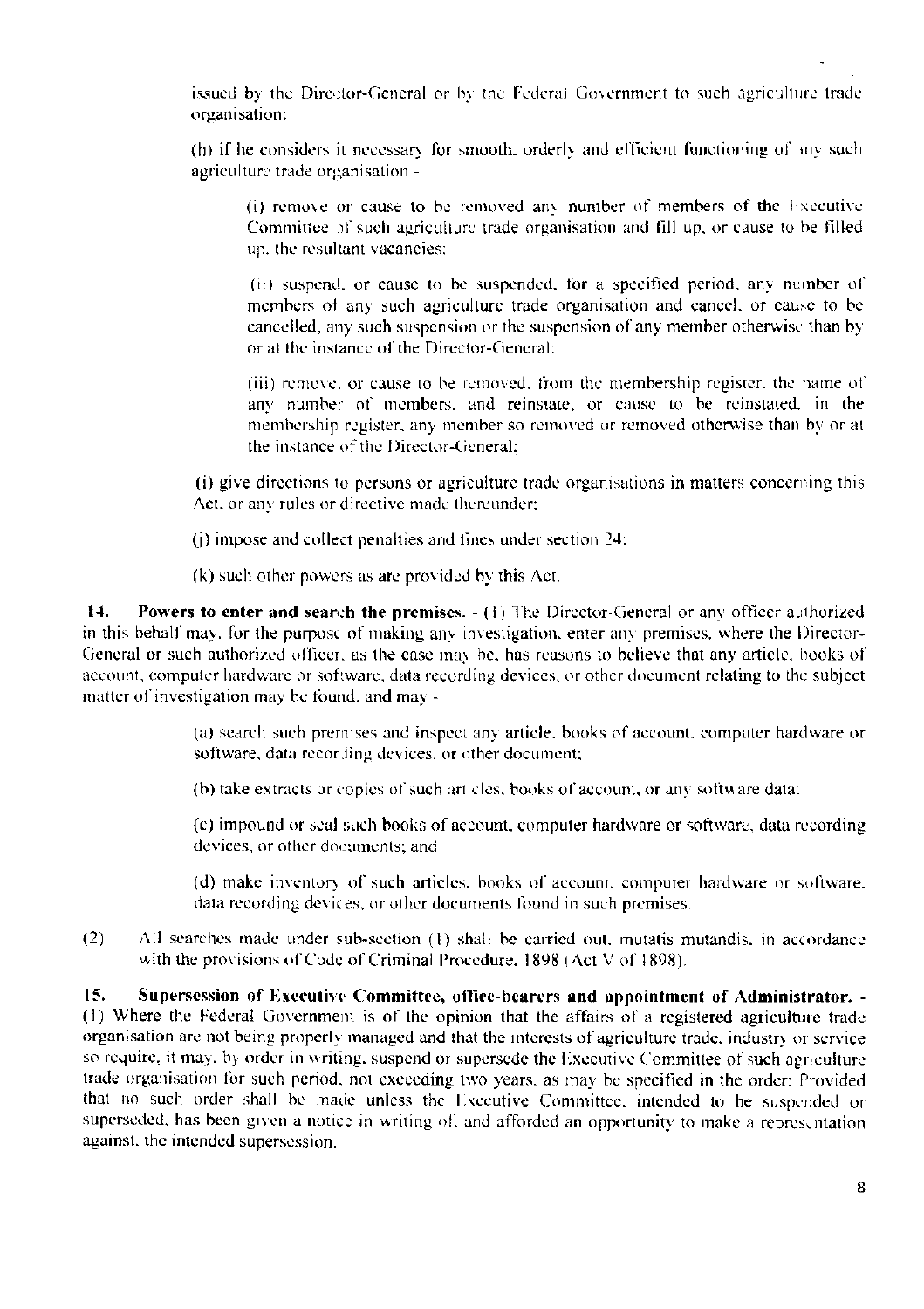issued by the Director-General or by the Federal Government to such agriculture trade organisation:

(h) if he considers it necessary for smooth, orderly and efficient functioning of any such agriculture trade organisation -

(i) remove or cause to be removed any number of members of the Executive Committee of such agriculture trade organisation and fill up, or cause to be filled up, the resultant vacancies;

(ii) suspend, or cause to be suspended, for a specified period, any number of members of any such agriculture trade organisation and cancel, or cause to be cancelled, any such suspension or the suspension of any member otherwise than by or at the instance of the Director-General:

(iii) remove, or cause to be removed, from the membership register, the name of any number of members, and reinstate, or cause to be reinstated, in the membership register, any member so removed or removed otherwise than by or at the instance of the Director-General:

(i) give directions to persons or agriculture trade organisations in matters concerning this Act, or any rules or directive made thereunder;

(j) impose and collect penalties and fines under section 24;

(k) such other powers as are provided by this Act.

14. **Powers to enter and search the premises.**  $- (1)$  The Director-General or any officer authorized in this behalf may, for the purpose of making any investigation, enter any premises, where the Director-General or such authorized officer, as the case may be, has reasons to believe that any article, books of account, computer hardware or software, data recording devices, or other document relating to the subject matter of investigation may be found, and may -

> (a) search such premises and inspect any article, books of account, computer hardware or software, data recording devices, or other document;

(b) take extracts or copies of such articles, books of account, or any software data:

(c) impound or seal such books of account, computer hardware or software, data recording devices, or other documents; and

(d) make inventory of such articles, books of account, computer hardware or software. data recording devices, or other documents found in such premises.

 $(2)$ All searches made under sub-section (1) shall be carried out, mutatis mutandis, in accordance with the provisions of Code of Criminal Procedure, 1898 (Act V of 1898).

15. Supersession of Executive Committee, office-bearers and appointment of Administrator. -(1) Where the Federal Government is of the opinion that the affairs of a registered agriculture trade organisation are not being properly managed and that the interests of agriculture trade, industry or service so require, it may, by order in writing, suspend or supersede the Executive Committee of such agriculture trade organisation for such period, not exceeding two years, as may be specified in the order; Provided that no such order shall be made unless the Executive Committee, intended to be suspended or superseded, has been given a notice in writing of, and afforded an opportunity to make a representation against, the intended supersession.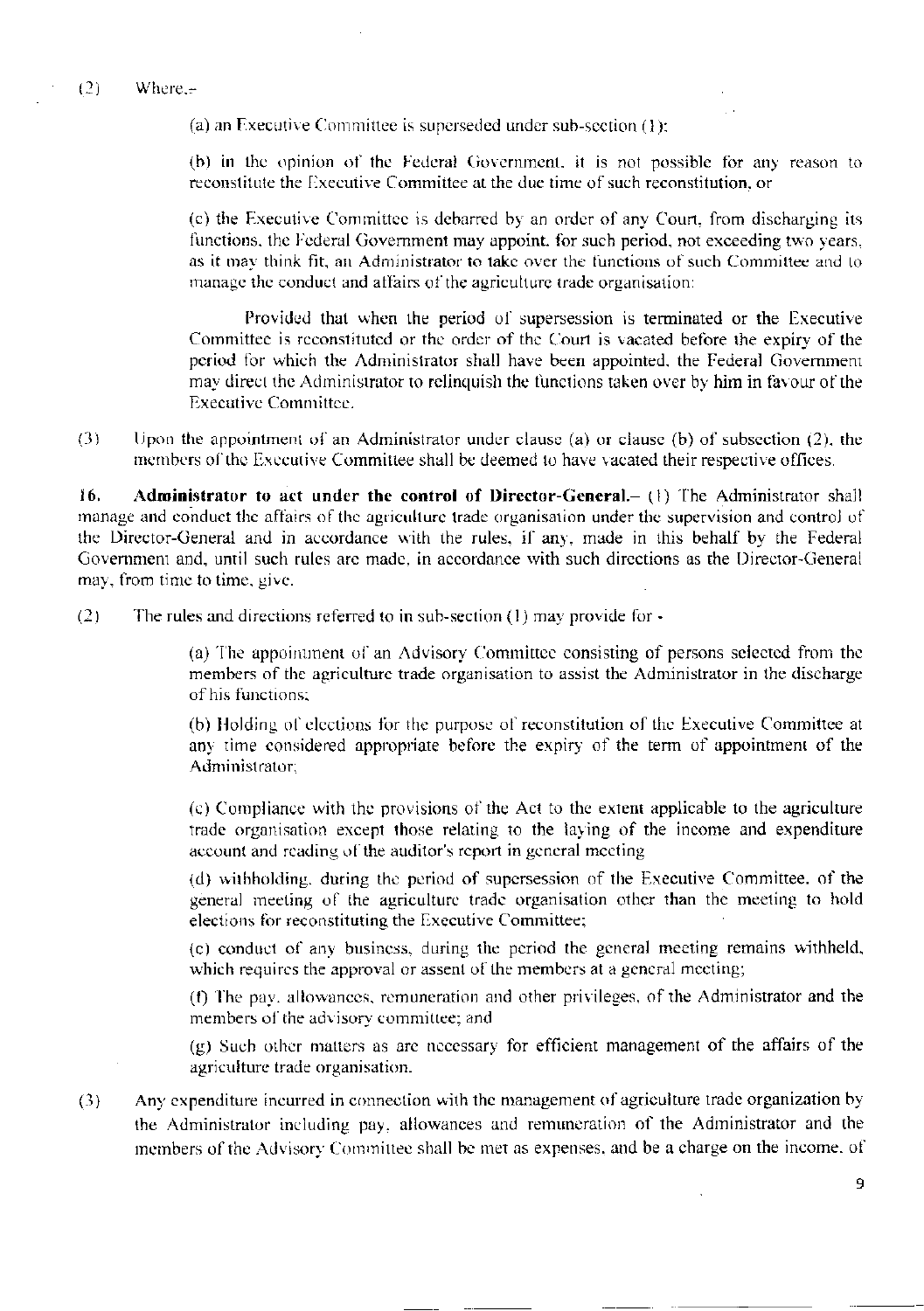(a) an Executive Committee is superseded under sub-section  $(1)$ :

(b) in the opinion of the Federal Government, it is not possible for any reason to reconstitute the Executive Committee at the due time of such reconstitution, or

(c) the Executive Committee is debarred by an order of any Court, from discharging its functions, the Federal Government may appoint, for such period, not exceeding two years, as it may think fit, an Administrator to take over the functions of such Committee and to manage the conduct and affairs of the agriculture trade organisation:

Provided that when the period of supersession is terminated or the Executive Committee is reconstituted or the order of the Court is vacated before the expiry of the period for which the Administrator shall have been appointed, the Federal Government may direct the Administrator to relinquish the functions taken over by him in favour of the **Executive Committee.** 

 $(3)$ Upon the appointment of an Administrator under clause (a) or clause (b) of subsection  $(2)$ , the members of the Executive Committee shall be deemed to have vacated their respective offices.

16. Administrator to act under the control of Director-General.- (1) The Administrator shall manage and conduct the affairs of the agriculture trade organisation under the supervision and control of the Director-General and in accordance with the rules, if any, made in this behalf by the Federal Government and, until such rules are made, in accordance with such directions as the Director-General may, from time to time, give.

 $(2)$ The rules and directions referred to in sub-section  $(1)$  may provide for  $\cdot$ 

> (a) The appointment of an Advisory Committee consisting of persons selected from the members of the agriculture trade organisation to assist the Administrator in the discharge of his functions:

> (b) Holding of elections for the purpose of reconstitution of the Executive Committee at any time considered appropriate before the expiry of the term of appointment of the Administrator:

> (c) Compliance with the provisions of the Act to the extent applicable to the agriculture trade organisation except those relating to the laying of the income and expenditure account and reading of the auditor's report in general meeting

> (d) withholding, during the period of supersession of the Executive Committee, of the general meeting of the agriculture trade organisation other than the meeting to hold elections for reconstituting the Executive Committee;

> (c) conduct of any business, during the period the general meeting remains withheld, which requires the approval or assent of the members at a general meeting;

> (f) The pav. allowances, remuneration and other privileges, of the Administrator and the members of the advisory committee; and

> (g) Such other matters as are necessary for efficient management of the affairs of the agriculture trade organisation.

Any expenditure incurred in connection with the management of agriculture trade organization by  $(3)$ the Administrator including pay, allowances and remuneration of the Administrator and the members of the Advisory Committee shall be met as expenses, and be a charge on the income, of

q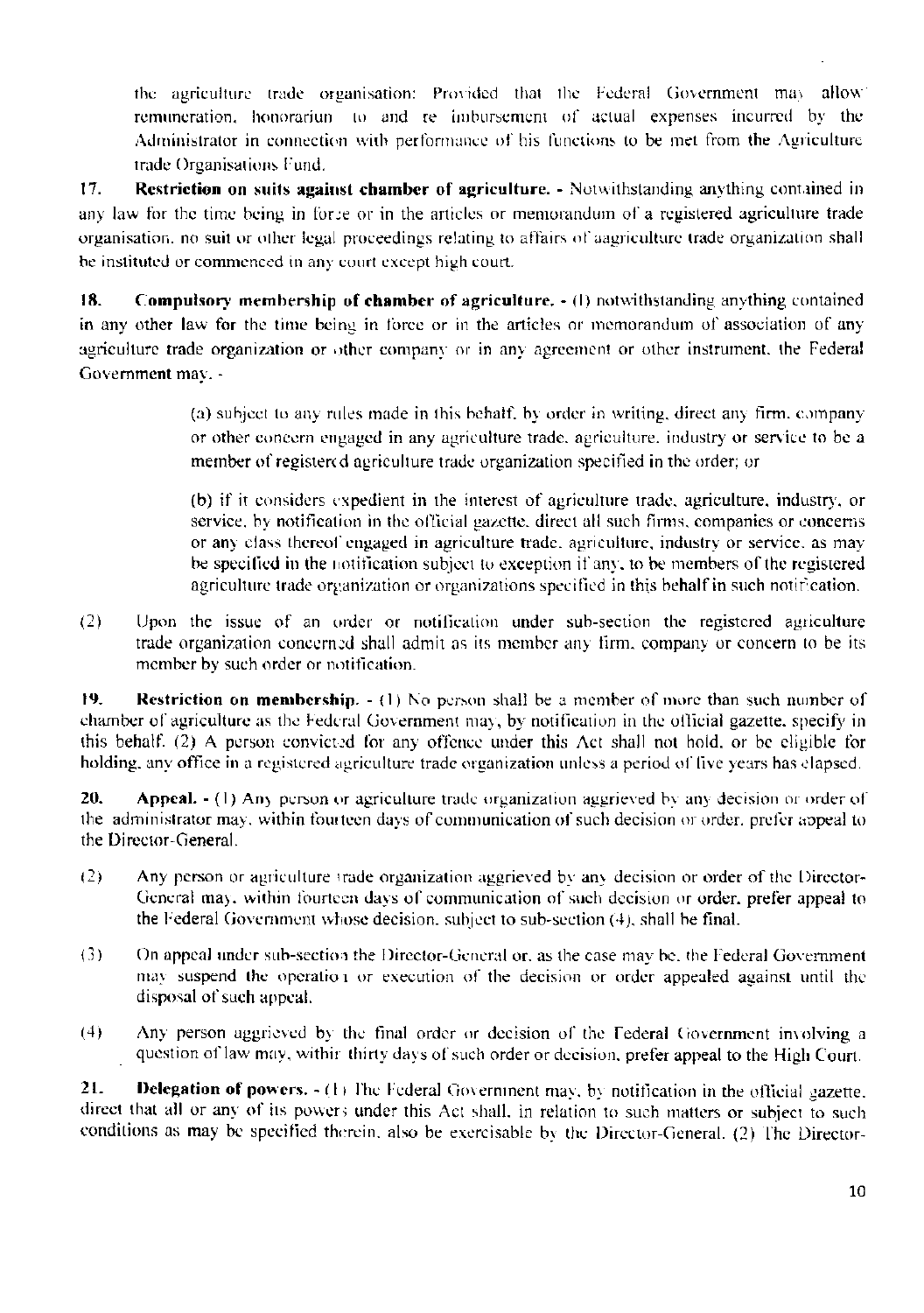the agriculture trade organisation: Provided that the Federal Government may allow remuneration, honorariun to and re imbursement of actual expenses incurred by the Administrator in connection with performance of his functions to be met from the Agriculture trade Organisations Fund.

 $17.$ Restriction on suits against chamber of agriculture. - Notwithstanding anything contained in any law for the time being in force or in the articles or memorandum of a registered agriculture trade organisation, no suit or other legal proceedings relating to affairs of aagriculture trade organization shall be instituted or commenced in any court except high court.

18. Compulsory membership of chamber of agriculture. - (1) notwithstanding anything contained in any other law for the time being in force or in the articles or memorandum of association of any agriculture trade organization or other company or in any agreement or other instrument, the Federal Government may. -

> (a) subject to any rules made in this behalf, by order in writing, direct any firm, company or other concern engaged in any agriculture trade, agriculture, industry or service to be a member of registered agriculture trade organization specified in the order; or

> (b) if it considers expedient in the interest of agriculture trade, agriculture, industry, or service, by notification in the official gazette, direct all such firms, companies or concerns or any class thereof engaged in agriculture trade, agriculture, industry or service, as may be specified in the notification subject to exception if any, to be members of the registered agriculture trade organization or organizations specified in this behalf in such notification.

 $(2)$ Upon the issue of an order or notification under sub-section the registered agriculture trade organization concerned shall admit as its member any firm, company or concern to be its member by such order or notification.

19. **Restriction on membership.**  $- (1)$  No person shall be a member of more than such number of chamber of agriculture as the Federal Government may, by notification in the official gazette, specify in this behalf. (2) A person convicted for any offence under this Act shall not hold, or be eligible for holding, any office in a registered agriculture trade organization unless a period of five years has clapsed.

20. Appeal. - (1) Any person or agriculture trade organization aggrieved by any decision or order of the administrator may, within fourteen days of communication of such decision or order, prefer appeal to the Director-General.

- $(2)$ Any person or agriculture trade organization aggrieved by any decision or order of the Director-General may, within fourteen days of communication of such decision or order, prefer appeal to the Federal Government whose decision, subject to sub-section (4), shall be final.
- $(3)$ On appeal under sub-section the Director-General or, as the case may be, the Federal Government may suspend the operation or execution of the decision or order appealed against until the disposal of such appeal.
- Any person aggrieved by the final order or decision of the Federal Government involving a  $(4)$ question of law may, within thirty days of such order or decision, prefer appeal to the High Court.

**Delegation of powers.**  $\cdot$  (1) The Federal Government may, by notification in the official gazette. 21. direct that all or any of its powers under this Act shall, in relation to such matters or subject to such conditions as may be specified therein, also be exercisable by the Director-General. (2) The Director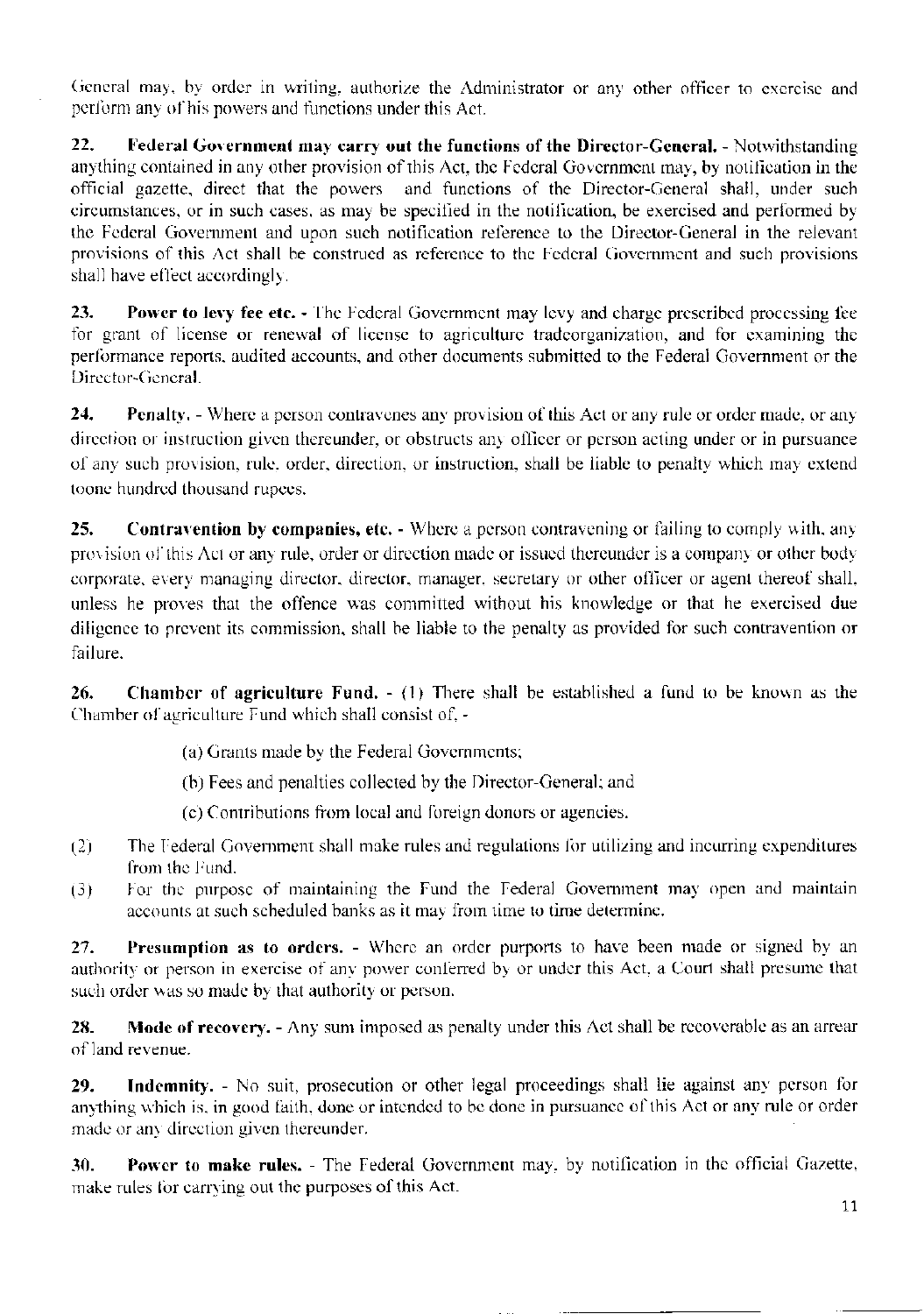General may, by order in writing, authorize the Administrator or any other officer to exercise and perform any of his powers and functions under this Act.

 $22.$ Federal Government may carry out the functions of the Director-General. - Notwithstanding anything contained in any other provision of this Act, the Federal Government may, by notification in the official gazette, direct that the powers and functions of the Director-General shall, under such circumstances, or in such cases, as may be specified in the notification, be exercised and performed by the Federal Government and upon such notification reference to the Director-General in the relevant provisions of this Act shall be construed as reference to the Federal Government and such provisions shall have effect accordingly.

23. Power to levy fee etc. - The Federal Government may levy and charge prescribed processing fee for grant of license or renewal of license to agriculture tradeorganization, and for examining the performance reports, audited accounts, and other documents submitted to the Federal Government or the Director-General.

24. **Penalty.** - Where a person contravenes any provision of this Act or any rule or order made, or any direction or instruction given thereunder, or obstructs any officer or person acting under or in pursuance of any such provision, rule, order, direction, or instruction, shall be liable to penalty which may extend toone hundred thousand rupees.

**Contravention by companies, etc.** - Where a person contravening or failing to comply with, any 25. provision of this Act or any rule, order or direction made or issued thereunder is a company or other body corporate, every managing director, director, manager, secretary or other officer or agent thereof shall, unless he proves that the offence was committed without his knowledge or that he exercised due diligence to prevent its commission, shall be liable to the penalty as provided for such contravention or failure.

26. **Chamber of agriculture Fund.**  $\cdot$  (1) There shall be established a fund to be known as the Chamber of agriculture Fund which shall consist of, -

- (a) Grants made by the Federal Governments;
- (b) Fees and penalties collected by the Director-General; and
- (c) Contributions from local and foreign donors or agencies.
- The Federal Government shall make rules and regulations for utilizing and incurring expenditures  $(2)$ from the Fund.
- For the purpose of maintaining the Fund the Federal Government may open and maintain  $(3)$ accounts at such scheduled banks as it may from time to time determine.

27. Presumption as to orders. - Where an order purports to have been made or signed by an authority or person in exercise of any power conferred by or under this Act, a Court shall presume that such order was so made by that authority or person.

28. **Mode of recovery.** - Any sum imposed as penalty under this Act shall be recoverable as an arrear of land revenue.

Indemnity. - No suit, prosecution or other legal proceedings shall lie against any person for 29. anything which is, in good faith, done or intended to be done in pursuance of this Act or any rule or order made or any direction given thereunder.

Power to make rules. - The Federal Government may, by notification in the official Gazette, 30. make rules for carrying out the purposes of this Act.